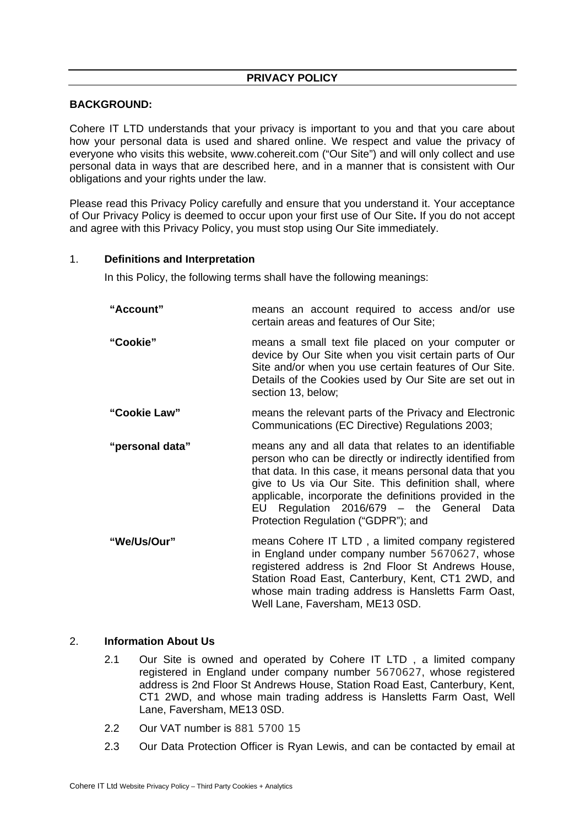## **BACKGROUND:**

Cohere IT LTD understands that your privacy is important to you and that you care about how your personal data is used and shared online. We respect and value the privacy of everyone who visits this website, www.cohereit.com ("Our Site") and will only collect and use personal data in ways that are described here, and in a manner that is consistent with Our obligations and your rights under the law.

Please read this Privacy Policy carefully and ensure that you understand it. Your acceptance of Our Privacy Policy is deemed to occur upon your first use of Our Site**.** If you do not accept and agree with this Privacy Policy, you must stop using Our Site immediately.

### 1. **Definitions and Interpretation**

In this Policy, the following terms shall have the following meanings:

| "Account"       | means an account required to access and/or use<br>certain areas and features of Our Site;                                                                                                                                                                                                                                                                                              |
|-----------------|----------------------------------------------------------------------------------------------------------------------------------------------------------------------------------------------------------------------------------------------------------------------------------------------------------------------------------------------------------------------------------------|
| "Cookie"        | means a small text file placed on your computer or<br>device by Our Site when you visit certain parts of Our<br>Site and/or when you use certain features of Our Site.<br>Details of the Cookies used by Our Site are set out in<br>section 13, below;                                                                                                                                 |
| "Cookie Law"    | means the relevant parts of the Privacy and Electronic<br>Communications (EC Directive) Regulations 2003;                                                                                                                                                                                                                                                                              |
| "personal data" | means any and all data that relates to an identifiable<br>person who can be directly or indirectly identified from<br>that data. In this case, it means personal data that you<br>give to Us via Our Site. This definition shall, where<br>applicable, incorporate the definitions provided in the<br>EU Regulation 2016/679 - the General Data<br>Protection Regulation ("GDPR"); and |
| "We/Us/Our"     | means Cohere IT LTD, a limited company registered<br>in England under company number 5670627, whose<br>registered address is 2nd Floor St Andrews House.                                                                                                                                                                                                                               |

registered address is 2nd Floor St Andrews House, Station Road East, Canterbury, Kent, CT1 2WD, and whose main trading address is Hansletts Farm Oast, Well Lane, Faversham, ME13 0SD.

#### 2. **Information About Us**

- 2.1 Our Site is owned and operated by Cohere IT LTD , a limited company registered in England under company number 5670627, whose registered address is 2nd Floor St Andrews House, Station Road East, Canterbury, Kent, CT1 2WD, and whose main trading address is Hansletts Farm Oast, Well Lane, Faversham, ME13 0SD.
- 2.2 Our VAT number is 881 5700 15
- 2.3 Our Data Protection Officer is Ryan Lewis, and can be contacted by email at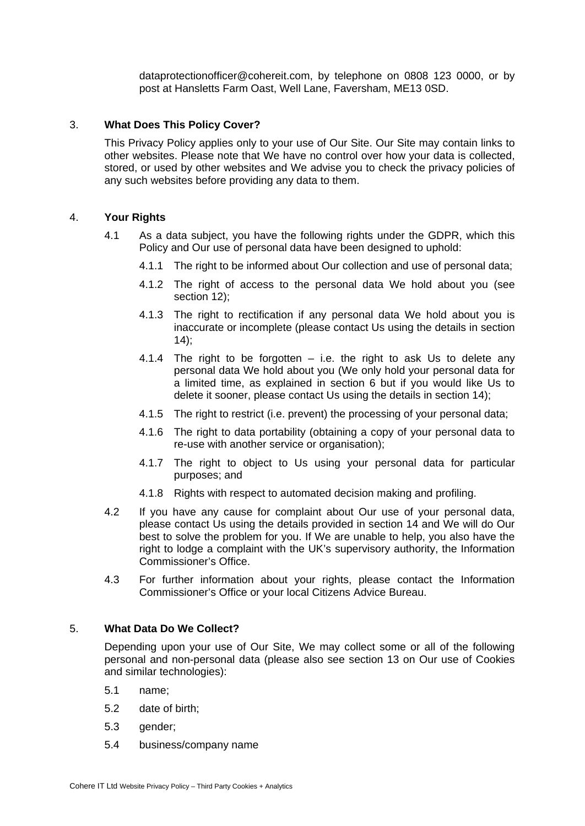dataprotectionofficer@cohereit.com, by telephone on 0808 123 0000, or by post at Hansletts Farm Oast, Well Lane, Faversham, ME13 0SD.

## 3. **What Does This Policy Cover?**

This Privacy Policy applies only to your use of Our Site. Our Site may contain links to other websites. Please note that We have no control over how your data is collected, stored, or used by other websites and We advise you to check the privacy policies of any such websites before providing any data to them.

### 4. **Your Rights**

- 4.1 As a data subject, you have the following rights under the GDPR, which this Policy and Our use of personal data have been designed to uphold:
	- 4.1.1 The right to be informed about Our collection and use of personal data;
	- 4.1.2 The right of access to the personal data We hold about you (see section 12);
	- 4.1.3 The right to rectification if any personal data We hold about you is inaccurate or incomplete (please contact Us using the details in section  $14$ :
	- 4.1.4 The right to be forgotten  $-$  i.e. the right to ask Us to delete any personal data We hold about you (We only hold your personal data for a limited time, as explained in section 6 but if you would like Us to delete it sooner, please contact Us using the details in section 14);
	- 4.1.5 The right to restrict (i.e. prevent) the processing of your personal data;
	- 4.1.6 The right to data portability (obtaining a copy of your personal data to re-use with another service or organisation);
	- 4.1.7 The right to object to Us using your personal data for particular purposes; and
	- 4.1.8 Rights with respect to automated decision making and profiling.
- 4.2 If you have any cause for complaint about Our use of your personal data, please contact Us using the details provided in section 14 and We will do Our best to solve the problem for you. If We are unable to help, you also have the right to lodge a complaint with the UK's supervisory authority, the Information Commissioner's Office.
- 4.3 For further information about your rights, please contact the Information Commissioner's Office or your local Citizens Advice Bureau.

### 5. **What Data Do We Collect?**

Depending upon your use of Our Site, We may collect some or all of the following personal and non-personal data (please also see section 13 on Our use of Cookies and similar technologies):

- 5.1 name;
- 5.2 date of birth;
- 5.3 gender;
- 5.4 business/company name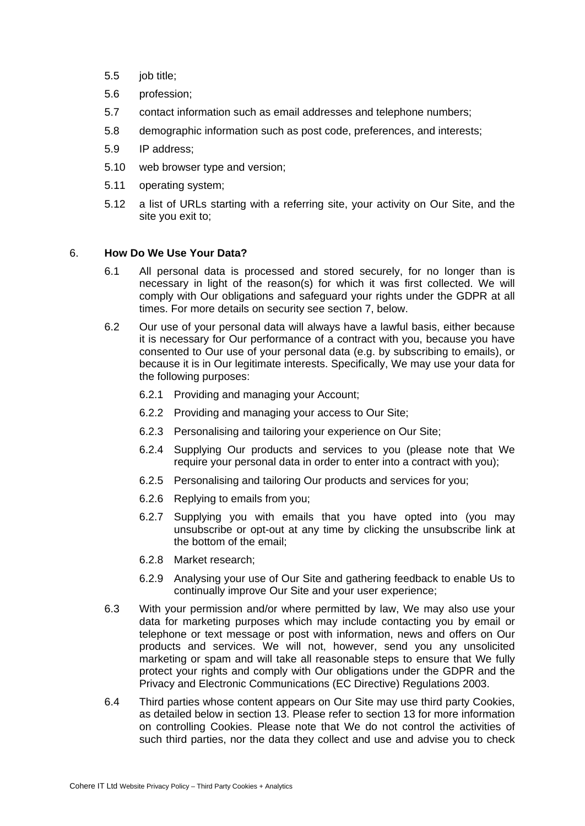- 5.5 job title;
- 5.6 profession;
- 5.7 contact information such as email addresses and telephone numbers;
- 5.8 demographic information such as post code, preferences, and interests;
- 5.9 IP address;
- 5.10 web browser type and version;
- 5.11 operating system;
- 5.12 a list of URLs starting with a referring site, your activity on Our Site, and the site you exit to;

### 6. **How Do We Use Your Data?**

- 6.1 All personal data is processed and stored securely, for no longer than is necessary in light of the reason(s) for which it was first collected. We will comply with Our obligations and safeguard your rights under the GDPR at all times. For more details on security see section 7, below.
- 6.2 Our use of your personal data will always have a lawful basis, either because it is necessary for Our performance of a contract with you, because you have consented to Our use of your personal data (e.g. by subscribing to emails), or because it is in Our legitimate interests. Specifically, We may use your data for the following purposes:
	- 6.2.1 Providing and managing your Account;
	- 6.2.2 Providing and managing your access to Our Site;
	- 6.2.3 Personalising and tailoring your experience on Our Site;
	- 6.2.4 Supplying Our products and services to you (please note that We require your personal data in order to enter into a contract with you);
	- 6.2.5 Personalising and tailoring Our products and services for you;
	- 6.2.6 Replying to emails from you;
	- 6.2.7 Supplying you with emails that you have opted into (you may unsubscribe or opt-out at any time by clicking the unsubscribe link at the bottom of the email;
	- 6.2.8 Market research;
	- 6.2.9 Analysing your use of Our Site and gathering feedback to enable Us to continually improve Our Site and your user experience;
- 6.3 With your permission and/or where permitted by law, We may also use your data for marketing purposes which may include contacting you by email or telephone or text message or post with information, news and offers on Our products and services. We will not, however, send you any unsolicited marketing or spam and will take all reasonable steps to ensure that We fully protect your rights and comply with Our obligations under the GDPR and the Privacy and Electronic Communications (EC Directive) Regulations 2003.
- 6.4 Third parties whose content appears on Our Site may use third party Cookies, as detailed below in section 13. Please refer to section 13 for more information on controlling Cookies. Please note that We do not control the activities of such third parties, nor the data they collect and use and advise you to check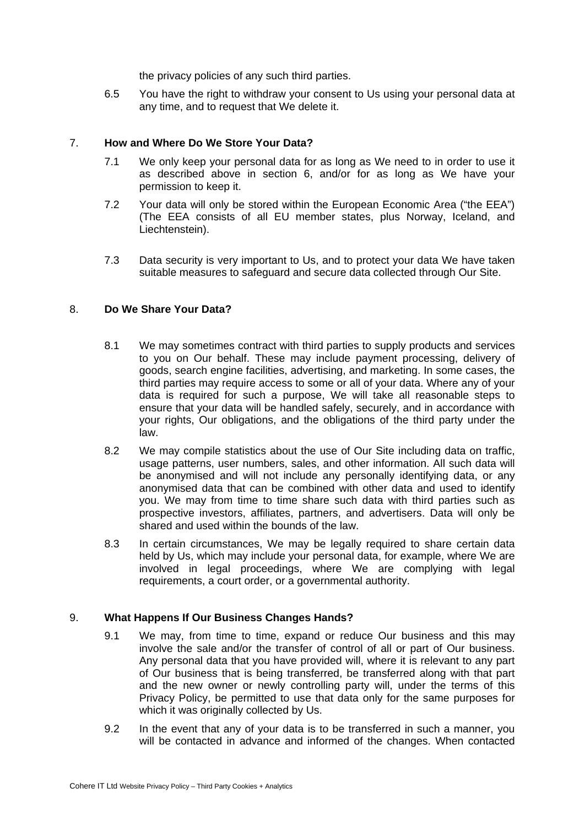the privacy policies of any such third parties.

6.5 You have the right to withdraw your consent to Us using your personal data at any time, and to request that We delete it.

## 7. **How and Where Do We Store Your Data?**

- 7.1 We only keep your personal data for as long as We need to in order to use it as described above in section 6, and/or for as long as We have your permission to keep it.
- 7.2 Your data will only be stored within the European Economic Area ("the EEA") (The EEA consists of all EU member states, plus Norway, Iceland, and Liechtenstein).
- 7.3 Data security is very important to Us, and to protect your data We have taken suitable measures to safeguard and secure data collected through Our Site.

# 8. **Do We Share Your Data?**

- 8.1 We may sometimes contract with third parties to supply products and services to you on Our behalf. These may include payment processing, delivery of goods, search engine facilities, advertising, and marketing. In some cases, the third parties may require access to some or all of your data. Where any of your data is required for such a purpose, We will take all reasonable steps to ensure that your data will be handled safely, securely, and in accordance with your rights, Our obligations, and the obligations of the third party under the law.
- 8.2 We may compile statistics about the use of Our Site including data on traffic, usage patterns, user numbers, sales, and other information. All such data will be anonymised and will not include any personally identifying data, or any anonymised data that can be combined with other data and used to identify you. We may from time to time share such data with third parties such as prospective investors, affiliates, partners, and advertisers. Data will only be shared and used within the bounds of the law.
- 8.3 In certain circumstances, We may be legally required to share certain data held by Us, which may include your personal data, for example, where We are involved in legal proceedings, where We are complying with legal requirements, a court order, or a governmental authority.

## 9. **What Happens If Our Business Changes Hands?**

- 9.1 We may, from time to time, expand or reduce Our business and this may involve the sale and/or the transfer of control of all or part of Our business. Any personal data that you have provided will, where it is relevant to any part of Our business that is being transferred, be transferred along with that part and the new owner or newly controlling party will, under the terms of this Privacy Policy, be permitted to use that data only for the same purposes for which it was originally collected by Us.
- 9.2 In the event that any of your data is to be transferred in such a manner, you will be contacted in advance and informed of the changes. When contacted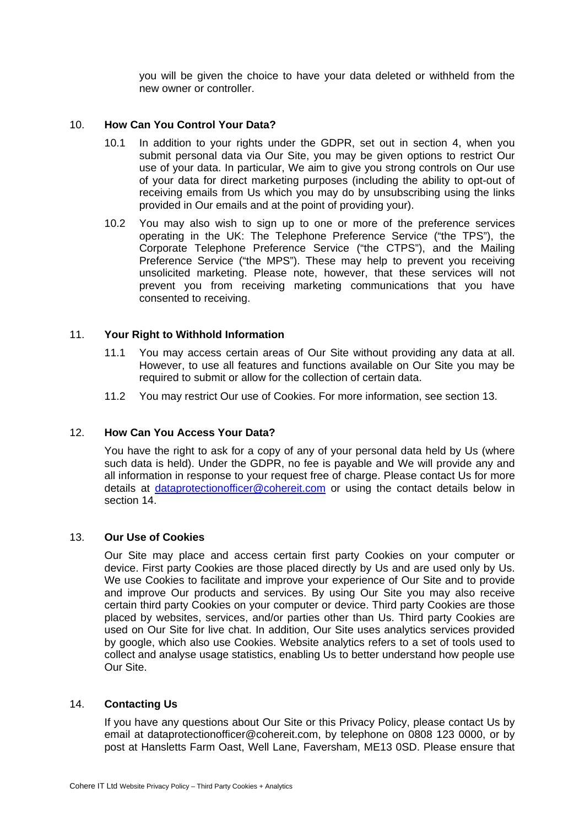you will be given the choice to have your data deleted or withheld from the new owner or controller.

## 10. **How Can You Control Your Data?**

- 10.1 In addition to your rights under the GDPR, set out in section 4, when you submit personal data via Our Site, you may be given options to restrict Our use of your data. In particular, We aim to give you strong controls on Our use of your data for direct marketing purposes (including the ability to opt-out of receiving emails from Us which you may do by unsubscribing using the links provided in Our emails and at the point of providing your).
- 10.2 You may also wish to sign up to one or more of the preference services operating in the UK: The Telephone Preference Service ("the TPS"), the Corporate Telephone Preference Service ("the CTPS"), and the Mailing Preference Service ("the MPS"). These may help to prevent you receiving unsolicited marketing. Please note, however, that these services will not prevent you from receiving marketing communications that you have consented to receiving.

# 11. **Your Right to Withhold Information**

- 11.1 You may access certain areas of Our Site without providing any data at all. However, to use all features and functions available on Our Site you may be required to submit or allow for the collection of certain data.
- 11.2 You may restrict Our use of Cookies. For more information, see section 13.

## 12. **How Can You Access Your Data?**

You have the right to ask for a copy of any of your personal data held by Us (where such data is held). Under the GDPR, no fee is payable and We will provide any and all information in response to your request free of charge. Please contact Us for more details at [dataprotectionofficer@cohereit.com](mailto:dataprotectionofficer@cohereit.com) or using the contact details below in section 14.

#### 13. **Our Use of Cookies**

Our Site may place and access certain first party Cookies on your computer or device. First party Cookies are those placed directly by Us and are used only by Us. We use Cookies to facilitate and improve your experience of Our Site and to provide and improve Our products and services. By using Our Site you may also receive certain third party Cookies on your computer or device. Third party Cookies are those placed by websites, services, and/or parties other than Us. Third party Cookies are used on Our Site for live chat. In addition, Our Site uses analytics services provided by google, which also use Cookies. Website analytics refers to a set of tools used to collect and analyse usage statistics, enabling Us to better understand how people use Our Site.

## 14. **Contacting Us**

If you have any questions about Our Site or this Privacy Policy, please contact Us by email at dataprotectionofficer@cohereit.com, by telephone on 0808 123 0000, or by post at Hansletts Farm Oast, Well Lane, Faversham, ME13 0SD. Please ensure that